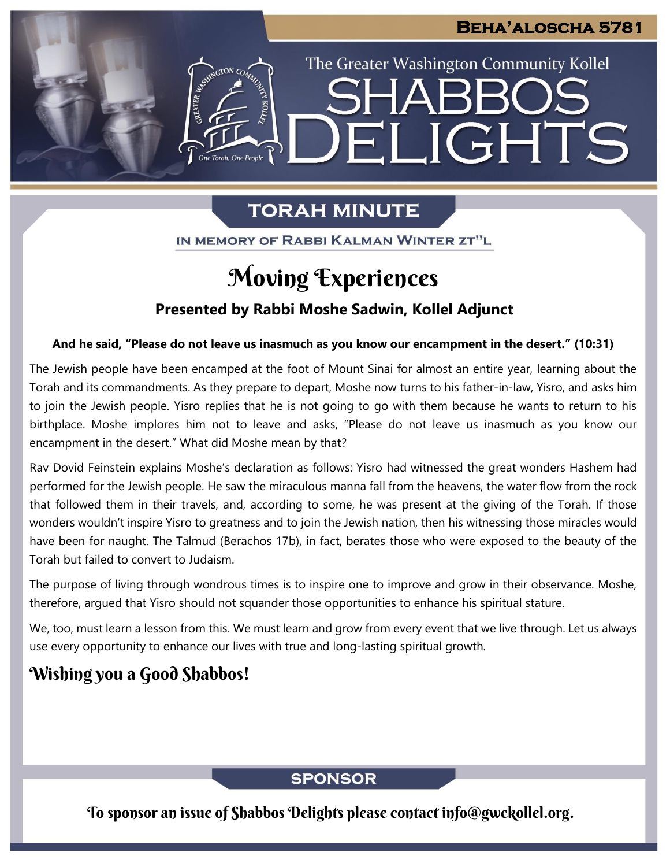The Greater Washington Community Kollel

ELIGHTS

## **TORAH MINUTE**

IN MEMORY OF RABBI KALMAN WINTER ZT"L

## Moving Experiences

### **Presented by Rabbi Moshe Sadwin, Kollel Adjunct**

#### **And he said, "Please do not leave us inasmuch as you know our encampment in the desert." (10:31)**

The Jewish people have been encamped at the foot of Mount Sinai for almost an entire year, learning about the Torah and its commandments. As they prepare to depart, Moshe now turns to his father-in-law, Yisro, and asks him to join the Jewish people. Yisro replies that he is not going to go with them because he wants to return to his birthplace. Moshe implores him not to leave and asks, "Please do not leave us inasmuch as you know our encampment in the desert." What did Moshe mean by that?

Rav Dovid Feinstein explains Moshe's declaration as follows: Yisro had witnessed the great wonders Hashem had performed for the Jewish people. He saw the miraculous manna fall from the heavens, the water flow from the rock that followed them in their travels, and, according to some, he was present at the giving of the Torah. If those wonders wouldn't inspire Yisro to greatness and to join the Jewish nation, then his witnessing those miracles would have been for naught. The Talmud (Berachos 17b), in fact, berates those who were exposed to the beauty of the Torah but failed to convert to Judaism.

The purpose of living through wondrous times is to inspire one to improve and grow in their observance. Moshe, therefore, argued that Yisro should not squander those opportunities to enhance his spiritual stature.

We, too, must learn a lesson from this. We must learn and grow from every event that we live through. Let us always use every opportunity to enhance our lives with true and long-lasting spiritual growth.

## Wishing you a Good Shabbos!

### **SPONSOR**

To sponsor an issue of Shabbos Delights please contact info@gwckollel.org.